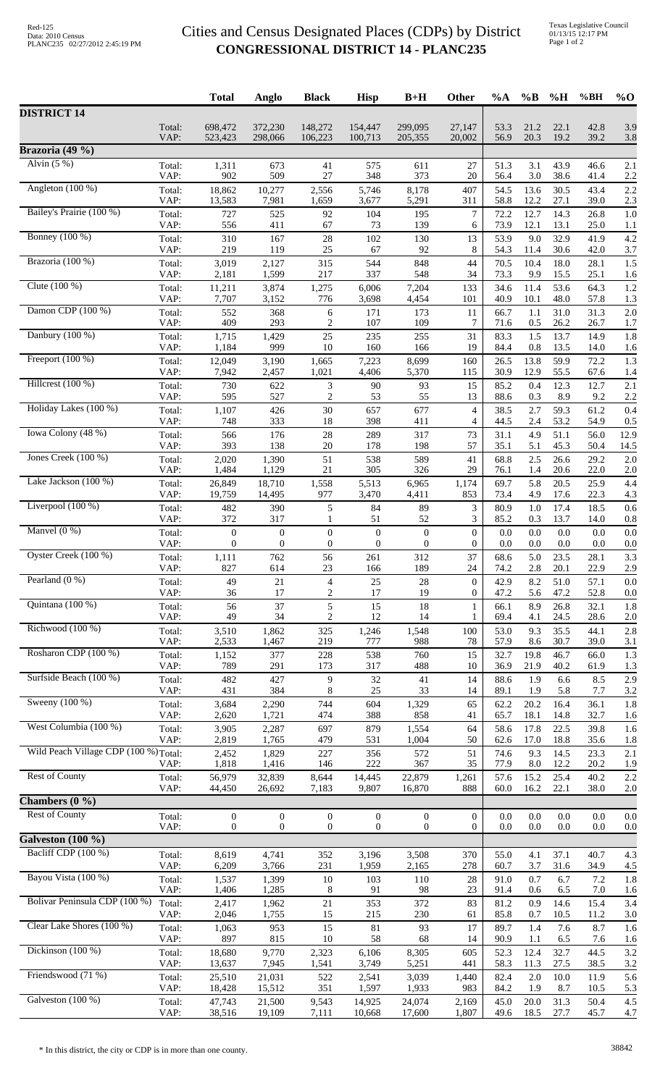## Cities and Census Designated Places (CDPs) by District **CONGRESSIONAL DISTRICT 14 - PLANC235**

|                                       |                | <b>Total</b>          | Anglo                 | <b>Black</b>                         | <b>Hisp</b>                          | $B+H$                                | Other                              | %A           | $\%B$          | %H           | %BH          | $%$ <sup>O</sup> |
|---------------------------------------|----------------|-----------------------|-----------------------|--------------------------------------|--------------------------------------|--------------------------------------|------------------------------------|--------------|----------------|--------------|--------------|------------------|
| <b>DISTRICT 14</b>                    |                |                       |                       |                                      |                                      |                                      |                                    |              |                |              |              |                  |
|                                       | Total:<br>VAP: | 698,472<br>523,423    | 372,230<br>298,066    | 148,272<br>106,223                   | 154,447<br>100,713                   | 299,095<br>205,355                   | 27,147<br>20,002                   | 53.3<br>56.9 | 21.2<br>20.3   | 22.1<br>19.2 | 42.8<br>39.2 | 3.9<br>3.8       |
| Brazoria (49 %)                       |                |                       |                       |                                      |                                      |                                      |                                    |              |                |              |              |                  |
| Alvin $(5%)$                          | Total:         | 1,311                 | 673                   | 41                                   | 575                                  | 611                                  | 27                                 | 51.3         | 3.1            | 43.9         | 46.6         | 2.1              |
| Angleton $(100\%)$                    | VAP:<br>Total: | 902<br>18,862         | 509<br>10,277         | 27<br>2,556                          | 348<br>5,746                         | 373<br>8,178                         | 20<br>407                          | 56.4<br>54.5 | 3.0<br>13.6    | 38.6<br>30.5 | 41.4<br>43.4 | 2.2<br>2.2       |
|                                       | VAP:           | 13,583                | 7,981                 | 1,659                                | 3,677                                | 5,291                                | 311                                | 58.8         | 12.2           | 27.1         | 39.0         | 2.3              |
| Bailey's Prairie (100 %)              | Total:<br>VAP: | 727<br>556            | 525<br>411            | 92<br>67                             | 104<br>73                            | 195<br>139                           | $\tau$<br>6                        | 72.2<br>73.9 | 12.7<br>12.1   | 14.3<br>13.1 | 26.8<br>25.0 | 1.0<br>1.1       |
| <b>Bonney</b> (100 %)                 | Total:<br>VAP: | 310<br>219            | 167<br>119            | $28\,$<br>25                         | 102<br>67                            | 130<br>92                            | 13<br>8                            | 53.9<br>54.3 | 9.0<br>11.4    | 32.9<br>30.6 | 41.9<br>42.0 | 4.2<br>3.7       |
| Brazoria (100 %)                      | Total:         | 3,019                 | 2,127                 | 315                                  | 544                                  | 848                                  | 44                                 | 70.5         | 10.4           | 18.0         | 28.1         | 1.5              |
| Clute $(100\%)$                       | VAP:<br>Total: | 2,181<br>11,211       | 1,599<br>3,874        | 217<br>1,275                         | 337<br>6,006                         | 548<br>7,204                         | 34<br>133                          | 73.3<br>34.6 | 9.9<br>11.4    | 15.5<br>53.6 | 25.1<br>64.3 | 1.6<br>1.2       |
| Damon CDP $(100\%)$                   | VAP:           | 7,707                 | 3,152                 | 776                                  | 3,698                                | 4,454                                | 101                                | 40.9         | 10.1           | 48.0         | 57.8         | 1.3              |
|                                       | Total:<br>VAP: | 552<br>409            | 368<br>293            | 6<br>$\overline{c}$                  | 171<br>107                           | 173<br>109                           | 11<br>7                            | 66.7<br>71.6 | 1.1<br>0.5     | 31.0<br>26.2 | 31.3<br>26.7 | 2.0<br>1.7       |
| Danbury $(100\%)$                     | Total:<br>VAP: | 1,715<br>1,184        | 1,429<br>999          | 25<br>10                             | 235<br>160                           | 255<br>166                           | 31<br>19                           | 83.3<br>84.4 | 1.5<br>0.8     | 13.7<br>13.5 | 14.9<br>14.0 | 1.8<br>1.6       |
| Freeport $(100\%)$                    | Total:         | 12,049                | 3,190                 | 1,665                                | 7,223                                | 8,699                                | 160                                | 26.5         | 13.8           | 59.9         | 72.2         | 1.3              |
| Hillcrest $(100\%)$                   | VAP:<br>Total: | 7,942<br>730          | 2,457<br>622          | 1,021<br>3                           | 4,406<br>90                          | 5,370<br>93                          | 115<br>15                          | 30.9<br>85.2 | 12.9<br>0.4    | 55.5<br>12.3 | 67.6<br>12.7 | 1.4<br>2.1       |
|                                       | VAP:           | 595                   | 527                   | 2                                    | 53                                   | 55                                   | 13                                 | 88.6         | 0.3            | 8.9          | 9.2          | 2.2              |
| Holiday Lakes (100 %)                 | Total:<br>VAP: | 1,107<br>748          | 426<br>333            | 30<br>$18\,$                         | 657<br>398                           | 677<br>411                           | 4<br>4                             | 38.5<br>44.5 | 2.7<br>2.4     | 59.3<br>53.2 | 61.2<br>54.9 | 0.4<br>0.5       |
| Iowa Colony (48 %)                    | Total:<br>VAP: | 566<br>393            | 176<br>138            | $28\,$<br>$20\,$                     | 289<br>178                           | 317                                  | 73<br>57                           | 31.1         | 4.9            | 51.1         | 56.0         | 12.9             |
| Jones Creek (100 %)                   | Total:         | 2,020                 | 1,390                 | 51                                   | 538                                  | 198<br>589                           | 41                                 | 35.1<br>68.8 | 5.1<br>2.5     | 45.3<br>26.6 | 50.4<br>29.2 | 14.5<br>2.0      |
| Lake Jackson (100 %)                  | VAP:<br>Total: | 1,484<br>26,849       | 1,129<br>18,710       | 21<br>1,558                          | 305<br>5,513                         | 326<br>6,965                         | 29<br>1,174                        | 76.1<br>69.7 | 1.4<br>5.8     | 20.6<br>20.5 | 22.0<br>25.9 | 2.0<br>4.4       |
|                                       | VAP:           | 19,759                | 14,495                | 977                                  | 3,470                                | 4,411                                | 853                                | 73.4         | 4.9            | 17.6         | 22.3         | 4.3              |
| Liverpool $(100\%)$                   | Total:<br>VAP: | 482<br>372            | 390<br>317            | 5<br>1                               | 84<br>51                             | 89<br>52                             | 3<br>3                             | 80.9<br>85.2 | 1.0<br>0.3     | 17.4<br>13.7 | 18.5<br>14.0 | 0.6<br>0.8       |
| Manvel $(0\%)$                        | Total:<br>VAP: | $\boldsymbol{0}$<br>0 | $\boldsymbol{0}$<br>0 | $\boldsymbol{0}$<br>$\boldsymbol{0}$ | $\boldsymbol{0}$<br>$\boldsymbol{0}$ | $\boldsymbol{0}$<br>$\boldsymbol{0}$ | $\boldsymbol{0}$<br>$\overline{0}$ | 0.0<br>0.0   | $0.0\,$<br>0.0 | 0.0<br>0.0   | 0.0<br>0.0   | 0.0<br>0.0       |
| Oyster Creek (100 %)                  | Total:         | 1,111                 | 762                   | 56                                   | 261                                  | 312                                  | 37                                 | 68.6         | 5.0            | 23.5         | 28.1         | 3.3              |
| Pearland $(0\%)$                      | VAP:<br>Total: | 827<br>49             | 614<br>21             | 23<br>4                              | 166<br>25                            | 189<br>28                            | 24<br>0                            | 74.2<br>42.9 | 2.8<br>8.2     | 20.1<br>51.0 | 22.9<br>57.1 | 2.9<br>0.0       |
| Quintana (100 %)                      | VAP:           | 36                    | 17                    | $\overline{c}$                       | 17                                   | 19                                   | $\overline{0}$                     | 47.2         | 5.6            | 47.2         | 52.8         | 0.0              |
|                                       | Total:<br>VAP: | 56<br>49              | 37<br>34              | 5<br>$\overline{c}$                  | 15<br>12                             | 18<br>14                             | 1<br>1                             | 66.1<br>69.4 | 8.9<br>4.1     | 26.8<br>24.5 | 32.1<br>28.6 | 1.8<br>2.0       |
| Richwood (100 %)                      | Total:<br>VAP: | 3,510<br>2,533        | 1,862<br>1,467        | 325<br>219                           | 1,246<br>777                         | 1,548<br>988                         | 100<br>78                          | 53.0<br>57.9 | 9.3<br>8.6     | 35.5<br>30.7 | 44.1<br>39.0 | 2.8<br>3.1       |
| Rosharon CDP (100 %)                  | Total:         | 1,152                 | 377                   | 228                                  | 538                                  | 760                                  | 15                                 | 32.7         | 19.8           | 46.7         | 66.0         | 1.3              |
| Surfside Beach (100 %)                | VAP:<br>Total: | 789<br>482            | 291<br>427            | 173<br>9                             | 317<br>32                            | 488<br>41                            | $10\,$<br>14                       | 36.9<br>88.6 | 21.9<br>1.9    | 40.2<br>6.6  | 61.9<br>8.5  | 1.3<br>2.9       |
|                                       | VAP:           | 431                   | 384                   | 8                                    | 25                                   | 33                                   | 14                                 | 89.1         | 1.9            | 5.8          | 7.7          | 3.2              |
| Sweeny (100 %)                        | Total:<br>VAP: | 3,684<br>2,620        | 2,290<br>1,721        | 744<br>474                           | 604<br>388                           | 1,329<br>858                         | 65<br>41                           | 62.2<br>65.7 | 20.2<br>18.1   | 16.4<br>14.8 | 36.1<br>32.7 | 1.8<br>1.6       |
| West Columbia (100 %)                 | Total:         | 3,905                 | 2,287                 | 697                                  | 879                                  | 1,554                                | 64                                 | 58.6         | 17.8           | 22.5         | 39.8         | 1.6              |
| Wild Peach Village CDP (100 %) Total: | VAP:           | 2,819<br>2,452        | 1,765<br>1,829        | 479<br>227                           | 531<br>356                           | 1,004<br>572                         | 50<br>51                           | 62.6<br>74.6 | 17.0<br>9.3    | 18.8<br>14.5 | 35.6<br>23.3 | 1.8<br>2.1       |
| <b>Rest of County</b>                 | VAP:           | 1,818                 | 1,416                 | 146                                  | 222                                  | 367                                  | 35                                 | 77.9         | 8.0            | 12.2         | 20.2         | 1.9              |
|                                       | Total:<br>VAP: | 56,979<br>44,450      | 32,839<br>26,692      | 8,644<br>7,183                       | 14,445<br>9,807                      | 22,879<br>16,870                     | 1,261<br>888                       | 57.6<br>60.0 | 15.2<br>16.2   | 25.4<br>22.1 | 40.2<br>38.0 | 2.2<br>2.0       |
| Chambers $(0, 9)$                     |                |                       |                       |                                      |                                      |                                      |                                    |              |                |              |              |                  |
| <b>Rest of County</b>                 | Total:<br>VAP: | $\boldsymbol{0}$<br>0 | $\boldsymbol{0}$<br>0 | $\boldsymbol{0}$<br>$\boldsymbol{0}$ | $\boldsymbol{0}$<br>$\mathbf{0}$     | $\mathbf{0}$<br>$\mathbf{0}$         | 0<br>$\overline{0}$                | 0.0<br>0.0   | 0.0<br>0.0     | 0.0<br>0.0   | 0.0<br>0.0   | 0.0<br>0.0       |
| Galveston $(100 \%)$                  |                |                       |                       |                                      |                                      |                                      |                                    |              |                |              |              |                  |
| Bacliff CDP (100 %)                   | Total:<br>VAP: | 8,619<br>6,209        | 4,741<br>3,766        | 352<br>231                           | 3,196<br>1,959                       | 3,508<br>2,165                       | 370<br>278                         | 55.0<br>60.7 | 4.1<br>3.7     | 37.1<br>31.6 | 40.7<br>34.9 | 4.3<br>4.5       |
| Bayou Vista (100 %)                   | Total:<br>VAP: | 1,537                 | 1,399<br>1,285        | $10\,$                               | 103                                  | 110<br>98                            | $28\,$<br>23                       | 91.0         | 0.7            | 6.7          | 7.2          | 1.8              |
| Bolivar Peninsula CDP (100 %)         | Total:         | 1,406<br>2,417        | 1,962                 | $\,8\,$<br>21                        | 91<br>353                            | 372                                  | 83                                 | 91.4<br>81.2 | 0.6<br>0.9     | 6.5<br>14.6  | 7.0<br>15.4  | 1.6<br>3.4       |
| Clear Lake Shores (100 %)             | VAP:<br>Total: | 2,046<br>1,063        | 1,755<br>953          | 15<br>15                             | 215<br>81                            | 230<br>93                            | 61<br>17                           | 85.8<br>89.7 | 0.7<br>1.4     | 10.5<br>7.6  | 11.2<br>8.7  | 3.0<br>1.6       |
|                                       | VAP:           | 897                   | 815                   | 10                                   | 58                                   | 68                                   | 14                                 | 90.9         | 1.1            | 6.5          | 7.6          | 1.6              |
| Dickinson (100 %)                     | Total:<br>VAP: | 18,680<br>13,637      | 9,770<br>7,945        | 2,323<br>1,541                       | 6,106<br>3,749                       | 8,305<br>5,251                       | 605<br>441                         | 52.3<br>58.3 | 12.4<br>11.3   | 32.7<br>27.5 | 44.5<br>38.5 | 3.2<br>3.2       |
| Friendswood (71 %)                    | Total:         | 25,510                | 21,031                | 522<br>351                           | 2,541                                | 3,039                                | 1,440                              | 82.4         | 2.0            | 10.0         | 11.9         | 5.6              |
| Galveston (100 %)                     | VAP:<br>Total: | 18,428<br>47,743      | 15,512<br>21,500      | 9,543                                | 1,597<br>14,925                      | 1,933<br>24,074                      | 983<br>2,169                       | 84.2<br>45.0 | 1.9<br>20.0    | 8.7<br>31.3  | 10.5<br>50.4 | 5.3<br>4.5       |
|                                       | VAP:           | 38,516                | 19,109                | 7,111                                | 10,668                               | 17,600                               | 1,807                              | 49.6         | 18.5           | 27.7         | 45.7         | 4.7              |